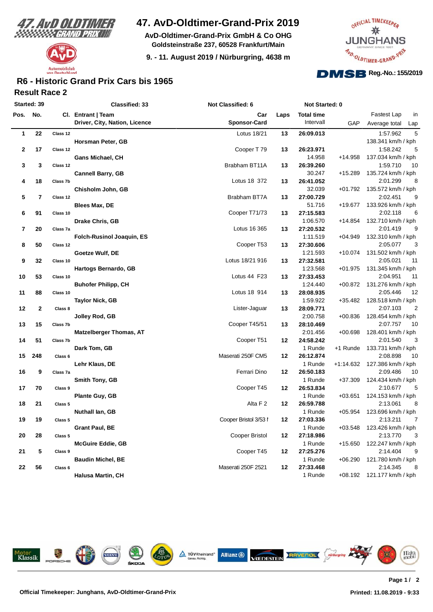



## **47. AvD-Oldtimer-Grand-Prix 2019**

**AvD-Oldtimer-Grand-Prix GmbH & Co OHG Goldsteinstraße 237, 60528 Frankfurt/Main**

**9. - 11. August 2019 / Nürburgring, 4638 m**



### **Result Race 2 R6 - Historic Grand Prix Cars bis 1965**

| Started: 39    |                |                    | <b>Classified: 33</b>            | Not Classified: 6     |      | Not Started: 0        |             |                                     |
|----------------|----------------|--------------------|----------------------------------|-----------------------|------|-----------------------|-------------|-------------------------------------|
| Pos.           | No.            |                    | Cl. Entrant   Team               | Car                   | Laps | <b>Total time</b>     |             | Fastest Lap<br>in                   |
|                |                |                    | Driver, City, Nation, Licence    | <b>Sponsor-Card</b>   |      | Intervall             | GAP         | Average total<br>Lap                |
| $\mathbf{1}$   | 22             | Class 12           |                                  | Lotus 18/21           | 13   | 26:09.013             |             | 5<br>1:57.962                       |
|                |                |                    | Horsman Peter, GB                |                       |      |                       |             | 138.341 km/h / kph                  |
| $\mathbf 2$    | 17             | Class 12           |                                  | Cooper T79            | 13   | 26:23.971             |             | 1:58.242<br>5                       |
|                |                |                    | <b>Gans Michael, CH</b>          |                       |      | 14.958                | $+14.958$   | 137.034 km/h / kph                  |
| 3              | 3              | Class 12           |                                  | Brabham BT11A         | 13   | 26:39.260             |             | 1:59.710<br>10                      |
|                |                |                    | <b>Cannell Barry, GB</b>         |                       |      | 30.247                | $+15.289$   | 135.724 km/h / kph                  |
| 4              | 18             | Class 7b           |                                  | Lotus 18 372          | 13   | 26:41.052             |             | 2:01.299<br>8                       |
|                |                |                    | Chisholm John, GB                |                       |      | 32.039                | $+01.792$   | 135.572 km/h / kph                  |
| 5              | $\overline{7}$ | Class 12           |                                  | Brabham BT7A          | 13   | 27:00.729             |             | 9<br>2:02.451                       |
|                |                |                    | Blees Max, DE                    |                       |      | 51.716                | +19.677     | 133.926 km/h / kph                  |
| 6              | 91             | Class 10           |                                  | Cooper T71/73         | 13   | 27:15.583             |             | 2:02.118<br>6                       |
|                |                |                    | Drake Chris, GB                  |                       |      | 1:06.570              | $+14.854$   | 132.710 km/h / kph                  |
| $\overline{7}$ | 20             | Class 7a           |                                  | Lotus 16 365          | 13   | 27:20.532             | $+04.949$   | 2:01.419<br>9                       |
| 8              | 50             | Class 12           | <b>Folch-Rusinol Joaquin, ES</b> | Cooper T53            | 13   | 1:11.519<br>27:30.606 |             | 132.310 km/h / kph<br>2:05.077<br>3 |
|                |                |                    | Goetze Wulf, DE                  |                       |      | 1:21.593              |             | +10.074 131.502 km/h / kph          |
| 9              | 32             | Class 10           |                                  | Lotus 18/21 916       | 13   | 27:32.581             |             | 2:05.021<br>11                      |
|                |                |                    | Hartogs Bernardo, GB             |                       |      | 1:23.568              | $+01.975$   | 131.345 km/h / kph                  |
| 10             | 53             | Class 10           |                                  | Lotus 44 F23          | 13   | 27:33.453             |             | 2:04.951<br>11                      |
|                |                |                    | <b>Buhofer Philipp, CH</b>       |                       |      | 1:24.440              | $+00.872$   | 131.276 km/h / kph                  |
| 11             | 88             | Class 10           |                                  | Lotus 18 914          | 13   | 28:08.935             |             | 12<br>2:05.446                      |
|                |                |                    | <b>Taylor Nick, GB</b>           |                       |      | 1:59.922              | $+35.482$   | 128.518 km/h / kph                  |
| 12             | $\mathbf{2}$   | Class 8            |                                  | Lister-Jaguar         | 13   | 28:09.771             |             | 2:07.103<br>$\overline{2}$          |
|                |                |                    | Jolley Rod, GB                   |                       |      | 2:00.758              | $+00.836$   | 128.454 km/h / kph                  |
| 13             | 15             | Class 7b           |                                  | Cooper T45/51         | 13   | 28:10.469             |             | 10<br>2:07.757                      |
|                |                |                    | <b>Matzelberger Thomas, AT</b>   |                       |      | 2:01.456              | $+00.698$   | 128.401 km/h / kph                  |
| 14             | 51             | Class 7b           |                                  | Cooper T51            | 12   | 24:58.242             |             | 2:01.540<br>3                       |
|                |                |                    | Dark Tom, GB                     |                       |      | 1 Runde               | +1 Runde    | 133.731 km/h / kph                  |
| 15             | 248            | Class 6            |                                  | Maserati 250F CM5     | 12   | 26:12.874             |             | 2:08.898<br>10                      |
|                |                |                    | Lehr Klaus, DE                   |                       |      | 1 Runde               | $+1:14.632$ | 127.386 km/h / kph                  |
| 16             | 9              | Class 7a           |                                  | Ferrari Dino          | 12   | 26:50.183             |             | 2:09.486<br>10                      |
| 17             | 70             | Class 9            | Smith Tony, GB                   |                       | 12   | 1 Runde<br>26:53.834  | $+37.309$   | 124.434 km/h / kph<br>2:10.677<br>5 |
|                |                |                    | Plante Guy, GB                   | Cooper T45            |      | 1 Runde               | $+03.651$   | 124.153 km/h / kph                  |
| 18             | 21             | Class 5            |                                  | Alta F 2              | 12   | 26:59.788             |             | 2:13.061<br>8                       |
|                |                |                    | Nuthall lan, GB                  |                       |      | 1 Runde               | +05.954     | 123.696 km/h / kph                  |
| 19             | 19             | Class 5            |                                  | Cooper Bristol 3/53 I | 12   | 27:03.336             |             | $\overline{7}$<br>2:13.211          |
|                |                |                    | <b>Grant Paul, BE</b>            |                       |      | 1 Runde               | $+03.548$   | 123.426 km/h / kph                  |
| 20             | 28             | Class <sub>5</sub> |                                  | Cooper Bristol        | 12   | 27:18.986             |             | 3<br>2:13.770                       |
|                |                |                    | <b>McGuire Eddie, GB</b>         |                       |      | 1 Runde               | $+15.650$   | 122.247 km/h / kph                  |
| 21             | 5              | Class 9            |                                  | Cooper T45            | 12   | 27:25.276             |             | 2:14.404<br>9                       |
|                |                |                    | <b>Baudin Michel, BE</b>         |                       |      | 1 Runde               | $+06.290$   | 121.780 km/h / kph                  |
| 22             | 56             | Class 6            |                                  | Maserati 250F 2521    | 12   | 27:33.468             |             | 2:14.345<br>8                       |
|                |                |                    | <b>Halusa Martin, CH</b>         |                       |      | 1 Runde               |             | +08.192 121.177 km/h / kph          |
|                |                |                    |                                  |                       |      |                       |             |                                     |